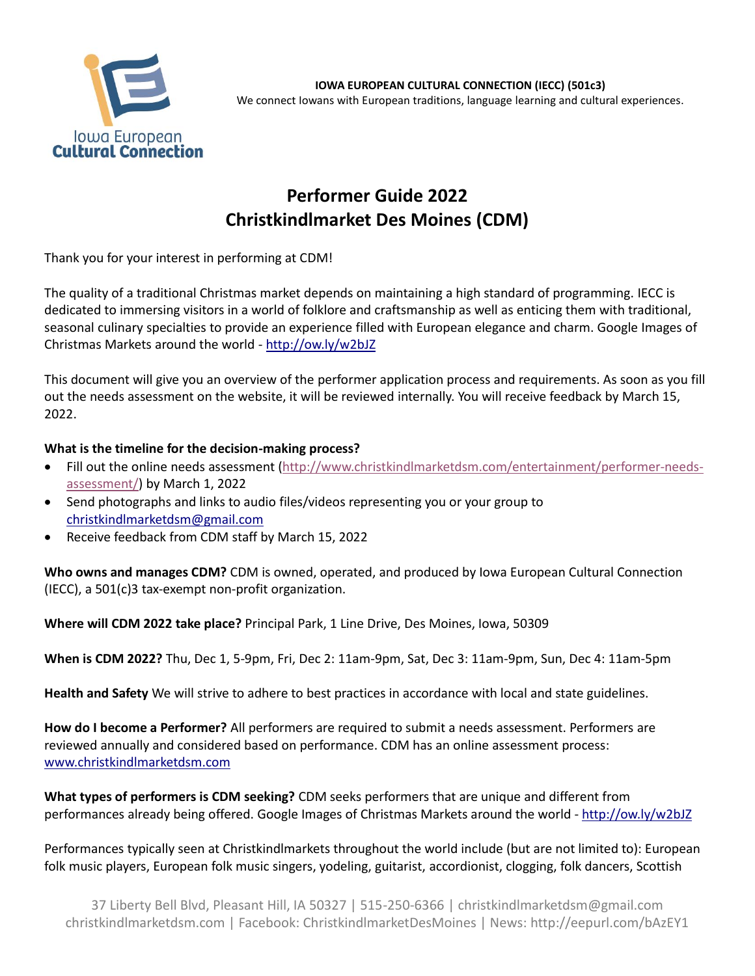

**IOWA EUROPEAN CULTURAL CONNECTION (IECC) (501c3)** We connect Iowans with European traditions, language learning and cultural experiences.

## **Performer Guide 2022 Christkindlmarket Des Moines (CDM)**

Thank you for your interest in performing at CDM!

The quality of a traditional Christmas market depends on maintaining a high standard of programming. IECC is dedicated to immersing visitors in a world of folklore and craftsmanship as well as enticing them with traditional, seasonal culinary specialties to provide an experience filled with European elegance and charm. Google Images of Christmas Markets around the world - <http://ow.ly/w2bJZ>

This document will give you an overview of the performer application process and requirements. As soon as you fill out the needs assessment on the website, it will be reviewed internally. You will receive feedback by March 15, 2022.

## **What is the timeline for the decision-making process?**

- Fill out the online needs assessment [\(http://www.christkindlmarketdsm.com/entertainment/performer-needs](http://www.christkindlmarketdsm.com/entertainment/performer-needs-assessment/)[assessment/\)](http://www.christkindlmarketdsm.com/entertainment/performer-needs-assessment/) by March 1, 2022
- Send photographs and links to audio files/videos representing you or your group to [christkindlmarketdsm@gmail.com](mailto:christkindlmarketdsm@gmail.com)
- Receive feedback from CDM staff by March 15, 2022

**Who owns and manages CDM?** CDM is owned, operated, and produced by Iowa European Cultural Connection (IECC), a 501(c)3 tax-exempt non-profit organization.

**Where will CDM 2022 take place?** Principal Park, 1 Line Drive, Des Moines, Iowa, 50309

**When is CDM 2022?** Thu, Dec 1, 5-9pm, Fri, Dec 2: 11am-9pm, Sat, Dec 3: 11am-9pm, Sun, Dec 4: 11am-5pm

**Health and Safety** We will strive to adhere to best practices in accordance with local and state guidelines.

**How do I become a Performer?** All performers are required to submit a needs assessment. Performers are reviewed annually and considered based on performance. CDM has an online assessment process: [www.christkindlmarketdsm.com](http://www.christkindlmarketdsm.com/)

**What types of performers is CDM seeking?** CDM seeks performers that are unique and different from performances already being offered. Google Images of Christmas Markets around the world - <http://ow.ly/w2bJZ>

Performances typically seen at Christkindlmarkets throughout the world include (but are not limited to): European folk music players, European folk music singers, yodeling, guitarist, accordionist, clogging, folk dancers, Scottish